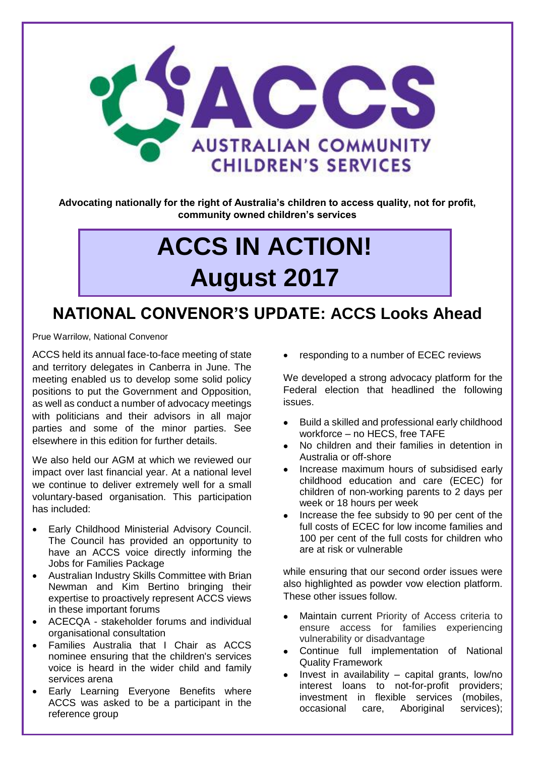

**Advocating nationally for the right of Australia's children to access quality, not for profit, community owned children's services**

# **ACCS IN ACTION! August 2017**

# **NATIONAL CONVENOR'S UPDATE: ACCS Looks Ahead**

Prue Warrilow, National Convenor

ACCS held its annual face-to-face meeting of state and territory delegates in Canberra in June. The meeting enabled us to develop some solid policy positions to put the Government and Opposition, as well as conduct a number of advocacy meetings with politicians and their advisors in all major parties and some of the minor parties. See elsewhere in this edition for further details.

We also held our AGM at which we reviewed our impact over last financial year. At a national level we continue to deliver extremely well for a small voluntary-based organisation. This participation has included:

- Early Childhood Ministerial Advisory Council. The Council has provided an opportunity to have an ACCS voice directly informing the Jobs for Families Package
- Australian Industry Skills Committee with Brian Newman and Kim Bertino bringing their expertise to proactively represent ACCS views in these important forums
- ACECQA stakeholder forums and individual organisational consultation
- Families Australia that I Chair as ACCS nominee ensuring that the children's services voice is heard in the wider child and family services arena
- Early Learning Everyone Benefits where ACCS was asked to be a participant in the reference group

• responding to a number of ECEC reviews

We developed a strong advocacy platform for the Federal election that headlined the following issues.

- Build a skilled and professional early childhood workforce – no HECS, free TAFE
- No children and their families in detention in Australia or off-shore
- Increase maximum hours of subsidised early childhood education and care (ECEC) for children of non-working parents to 2 days per week or 18 hours per week
- Increase the fee subsidy to 90 per cent of the full costs of ECEC for low income families and 100 per cent of the full costs for children who are at risk or vulnerable

while ensuring that our second order issues were also highlighted as powder vow election platform. These other issues follow.

- Maintain current Priority of Access criteria to ensure access for families experiencing vulnerability or disadvantage
- Continue full implementation of National Quality Framework
- Invest in availability  $-$  capital grants, low/no interest loans to not-for-profit providers; investment in flexible services (mobiles, occasional care, Aboriginal services);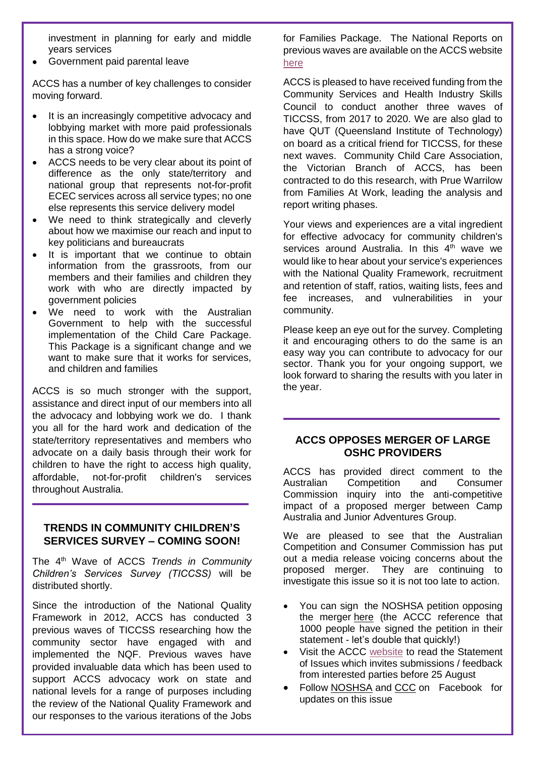investment in planning for early and middle years services

• Government paid parental leave

ACCS has a number of key challenges to consider moving forward.

- It is an increasingly competitive advocacy and lobbying market with more paid professionals in this space. How do we make sure that ACCS has a strong voice?
- ACCS needs to be very clear about its point of difference as the only state/territory and national group that represents not-for-profit ECEC services across all service types; no one else represents this service delivery model
- We need to think strategically and cleverly about how we maximise our reach and input to key politicians and bureaucrats
- It is important that we continue to obtain information from the grassroots, from our members and their families and children they work with who are directly impacted by government policies
- We need to work with the Australian Government to help with the successful implementation of the Child Care Package. This Package is a significant change and we want to make sure that it works for services, and children and families

ACCS is so much stronger with the support, assistance and direct input of our members into all the advocacy and lobbying work we do. I thank you all for the hard work and dedication of the state/territory representatives and members who advocate on a daily basis through their work for children to have the right to access high quality, affordable, not-for-profit children's services throughout Australia.

#### **TRENDS IN COMMUNITY CHILDREN'S SERVICES SURVEY – COMING SOON!**

The 4th Wave of ACCS *Trends in Community Children's Services Survey (TICCSS)* will be distributed shortly.

Since the introduction of the National Quality Framework in 2012, ACCS has conducted 3 previous waves of TICCSS researching how the community sector have engaged with and implemented the NQF. Previous waves have provided invaluable data which has been used to support ACCS advocacy work on state and national levels for a range of purposes including the review of the National Quality Framework and our responses to the various iterations of the Jobs

for Families Package. The National Reports on previous waves are available on the ACCS website [here](http://ausccs.org.au/?page_id=93)

ACCS is pleased to have received funding from the Community Services and Health Industry Skills Council to conduct another three waves of TICCSS, from 2017 to 2020. We are also glad to have QUT (Queensland Institute of Technology) on board as a critical friend for TICCSS, for these next waves. Community Child Care Association, the Victorian Branch of ACCS, has been contracted to do this research, with Prue Warrilow from Families At Work, leading the analysis and report writing phases.

Your views and experiences are a vital ingredient for effective advocacy for community children's services around Australia. In this  $4<sup>th</sup>$  wave we would like to hear about your service's experiences with the National Quality Framework, recruitment and retention of staff, ratios, waiting lists, fees and fee increases, and vulnerabilities in your community.

Please keep an eye out for the survey. Completing it and encouraging others to do the same is an easy way you can contribute to advocacy for our sector. Thank you for your ongoing support, we look forward to sharing the results with you later in the year.

#### **ACCS OPPOSES MERGER OF LARGE OSHC PROVIDERS**

ACCS has provided direct comment to the Australian Competition and Consumer Commission inquiry into the anti-competitive impact of a proposed merger between Camp Australia and Junior Adventures Group.

We are pleased to see that the Australian Competition and Consumer Commission has put out a media release voicing concerns about the proposed merger. They are continuing to investigate this issue so it is not too late to action.

- You can sign the NOSHSA petition opposing the merger [here](https://www.change.org/p/noshsa-maintain-choice-and-diversity-in-australian-out-of-school-hours-care-sector?recruiter=66638803&utm_source=share_petition&utm_medium=email&utm_campaign=share_email_responsive) (the ACCC reference that 1000 people have signed the petition in their statement - let's double that quickly!)
- Visit the ACCC [website](http://registers.accc.gov.au/content/index.phtml/itemId/1202418/fromItemId/750991) to read the Statement of Issues which invites submissions / feedback from interested parties before 25 August
- Follow [NOSHSA](https://www.facebook.com/Mytimeourplace4oshc/?hc_location=ufi) and [CCC](https://www.facebook.com/CommunityChildCareAssoc/) on Facebook for updates on this issue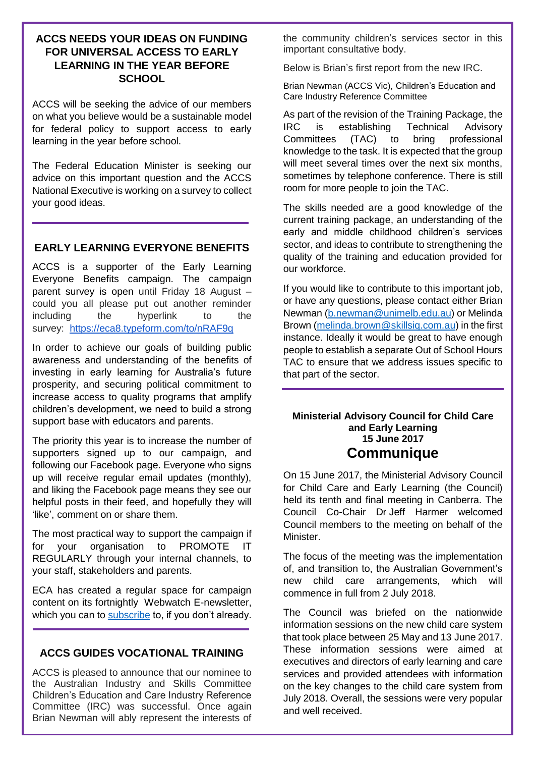## **ACCS NEEDS YOUR IDEAS ON FUNDING FOR UNIVERSAL ACCESS TO EARLY LEARNING IN THE YEAR BEFORE SCHOOL**

ACCS will be seeking the advice of our members on what you believe would be a sustainable model for federal policy to support access to early learning in the year before school.

The Federal Education Minister is seeking our advice on this important question and the ACCS National Executive is working on a survey to collect your good ideas.

#### **EARLY LEARNING EVERYONE BENEFITS**

ACCS is a supporter of the Early Learning Everyone Benefits campaign. The campaign parent survey is open until Friday 18 August – could you all please put out another reminder including the hyperlink to the survey: <https://eca8.typeform.com/to/nRAF9q>

In order to achieve our goals of building public awareness and understanding of the benefits of investing in early learning for Australia's future prosperity, and securing political commitment to increase access to quality programs that amplify children's development, we need to build a strong support base with educators and parents.

The priority this year is to increase the number of supporters signed up to our campaign, and following our Facebook page. Everyone who signs up will receive regular email updates (monthly), and liking the Facebook page means they see our helpful posts in their feed, and hopefully they will 'like', comment on or share them.

The most practical way to support the campaign if for your organisation to PROMOTE IT REGULARLY through your internal channels, to your staff, stakeholders and parents.

ECA has created a regular space for campaign content on its fortnightly Webwatch E-newsletter, which you can to [subscribe](http://online.earlychildhoodaustralia.org.au/services/massemail/default.aspx?action=subscribe&groupid=15) to, if you don't already.

#### **ACCS GUIDES VOCATIONAL TRAINING**

ACCS is pleased to announce that our nominee to the Australian Industry and Skills Committee Children's Education and Care Industry Reference Committee (IRC) was successful. Once again Brian Newman will ably represent the interests of the community children's services sector in this important consultative body.

Below is Brian's first report from the new IRC.

Brian Newman (ACCS Vic), Children's Education and Care Industry Reference Committee

As part of the revision of the Training Package, the IRC is establishing Technical Advisory Committees (TAC) to bring professional knowledge to the task. It is expected that the group will meet several times over the next six months. sometimes by telephone conference. There is still room for more people to join the TAC.

The skills needed are a good knowledge of the current training package, an understanding of the early and middle childhood children's services sector, and ideas to contribute to strengthening the quality of the training and education provided for our workforce.

If you would like to contribute to this important job, or have any questions, please contact either Brian Newman [\(b.newman@unimelb.edu.au\)](mailto:b.newman@unimelb.edu.au) or Melinda Brown [\(melinda.brown@skillsiq.com.au\)](mailto:melinda.brown@skillsiq.com.au) in the first instance. Ideally it would be great to have enough people to establish a separate Out of School Hours TAC to ensure that we address issues specific to that part of the sector.

#### **Ministerial Advisory Council for Child Care and Early Learning 15 June 2017 Communique**

On 15 June 2017, the Ministerial Advisory Council for Child Care and Early Learning (the Council) held its tenth and final meeting in Canberra. The Council Co-Chair Dr Jeff Harmer welcomed Council members to the meeting on behalf of the Minister.

The focus of the meeting was the implementation of, and transition to, the Australian Government's new child care arrangements, which will commence in full from 2 July 2018.

The Council was briefed on the nationwide information sessions on the new child care system that took place between 25 May and 13 June 2017. These information sessions were aimed at executives and directors of early learning and care services and provided attendees with information on the key changes to the child care system from July 2018. Overall, the sessions were very popular and well received.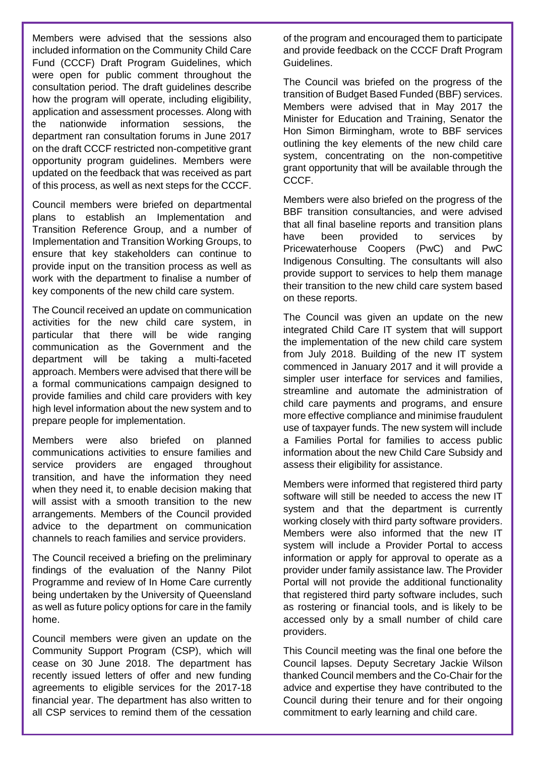Members were advised that the sessions also included information on the Community Child Care Fund (CCCF) Draft Program Guidelines, which were open for public comment throughout the consultation period. The draft guidelines describe how the program will operate, including eligibility, application and assessment processes. Along with the nationwide information sessions, the department ran consultation forums in June 2017 on the draft CCCF restricted non-competitive grant opportunity program guidelines. Members were updated on the feedback that was received as part of this process, as well as next steps for the CCCF.

Council members were briefed on departmental plans to establish an Implementation and Transition Reference Group, and a number of Implementation and Transition Working Groups, to ensure that key stakeholders can continue to provide input on the transition process as well as work with the department to finalise a number of key components of the new child care system.

The Council received an update on communication activities for the new child care system, in particular that there will be wide ranging communication as the Government and the department will be taking a multi-faceted approach. Members were advised that there will be a formal communications campaign designed to provide families and child care providers with key high level information about the new system and to prepare people for implementation.

Members were also briefed on planned communications activities to ensure families and service providers are engaged throughout transition, and have the information they need when they need it, to enable decision making that will assist with a smooth transition to the new arrangements. Members of the Council provided advice to the department on communication channels to reach families and service providers.

The Council received a briefing on the preliminary findings of the evaluation of the Nanny Pilot Programme and review of In Home Care currently being undertaken by the University of Queensland as well as future policy options for care in the family home.

Council members were given an update on the Community Support Program (CSP), which will cease on 30 June 2018. The department has recently issued letters of offer and new funding agreements to eligible services for the 2017-18 financial year. The department has also written to all CSP services to remind them of the cessation of the program and encouraged them to participate and provide feedback on the CCCF Draft Program Guidelines.

The Council was briefed on the progress of the transition of Budget Based Funded (BBF) services. Members were advised that in May 2017 the Minister for Education and Training, Senator the Hon Simon Birmingham, wrote to BBF services outlining the key elements of the new child care system, concentrating on the non-competitive grant opportunity that will be available through the CCCF.

Members were also briefed on the progress of the BBF transition consultancies, and were advised that all final baseline reports and transition plans have been provided to services by Pricewaterhouse Coopers (PwC) and PwC Indigenous Consulting. The consultants will also provide support to services to help them manage their transition to the new child care system based on these reports.

The Council was given an update on the new integrated Child Care IT system that will support the implementation of the new child care system from July 2018. Building of the new IT system commenced in January 2017 and it will provide a simpler user interface for services and families. streamline and automate the administration of child care payments and programs, and ensure more effective compliance and minimise fraudulent use of taxpayer funds. The new system will include a Families Portal for families to access public information about the new Child Care Subsidy and assess their eligibility for assistance.

Members were informed that registered third party software will still be needed to access the new IT system and that the department is currently working closely with third party software providers. Members were also informed that the new IT system will include a Provider Portal to access information or apply for approval to operate as a provider under family assistance law. The Provider Portal will not provide the additional functionality that registered third party software includes, such as rostering or financial tools, and is likely to be accessed only by a small number of child care providers.

This Council meeting was the final one before the Council lapses. Deputy Secretary Jackie Wilson thanked Council members and the Co-Chair for the advice and expertise they have contributed to the Council during their tenure and for their ongoing commitment to early learning and child care.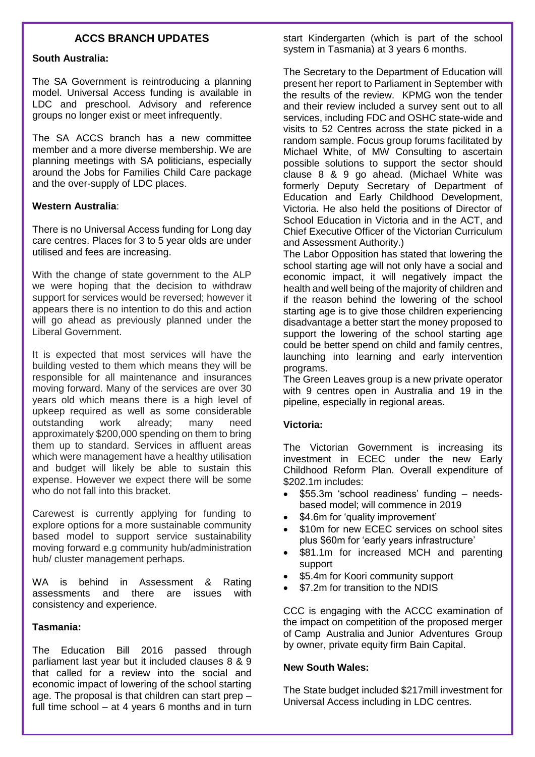## **ACCS BRANCH UPDATES**

#### **South Australia:**

The SA Government is reintroducing a planning model. Universal Access funding is available in LDC and preschool. Advisory and reference groups no longer exist or meet infrequently.

The SA ACCS branch has a new committee member and a more diverse membership. We are planning meetings with SA politicians, especially around the Jobs for Families Child Care package and the over-supply of LDC places.

#### **Western Australia**:

There is no Universal Access funding for Long day care centres. Places for 3 to 5 year olds are under utilised and fees are increasing.

With the change of state government to the ALP we were hoping that the decision to withdraw support for services would be reversed; however it appears there is no intention to do this and action will go ahead as previously planned under the Liberal Government.

It is expected that most services will have the building vested to them which means they will be responsible for all maintenance and insurances moving forward. Many of the services are over 30 years old which means there is a high level of upkeep required as well as some considerable outstanding work already; many need approximately \$200,000 spending on them to bring them up to standard. Services in affluent areas which were management have a healthy utilisation and budget will likely be able to sustain this expense. However we expect there will be some who do not fall into this bracket.

Carewest is currently applying for funding to explore options for a more sustainable community based model to support service sustainability moving forward e.g community hub/administration hub/ cluster management perhaps.

WA is behind in Assessment & Rating assessments and there are issues with consistency and experience.

#### **Tasmania:**

The Education Bill 2016 passed through parliament last year but it included clauses 8 & 9 that called for a review into the social and economic impact of lowering of the school starting age. The proposal is that children can start prep – full time school – at 4 years 6 months and in turn

start Kindergarten (which is part of the school system in Tasmania) at 3 years 6 months.

The Secretary to the Department of Education will present her report to Parliament in September with the results of the review. KPMG won the tender and their review included a survey sent out to all services, including FDC and OSHC state-wide and visits to 52 Centres across the state picked in a random sample. Focus group forums facilitated by Michael White, of MW Consulting to ascertain possible solutions to support the sector should clause 8 & 9 go ahead. (Michael White was formerly Deputy Secretary of Department of Education and Early Childhood Development, Victoria. He also held the positions of Director of School Education in Victoria and in the ACT, and Chief Executive Officer of the Victorian Curriculum and Assessment Authority.)

The Labor Opposition has stated that lowering the school starting age will not only have a social and economic impact, it will negatively impact the health and well being of the majority of children and if the reason behind the lowering of the school starting age is to give those children experiencing disadvantage a better start the money proposed to support the lowering of the school starting age could be better spend on child and family centres, launching into learning and early intervention programs.

The Green Leaves group is a new private operator with 9 centres open in Australia and 19 in the pipeline, especially in regional areas.

#### **Victoria:**

The Victorian Government is increasing its investment in ECEC under the new Early Childhood Reform Plan. Overall expenditure of \$202.1m includes:

- \$55.3m 'school readiness' funding needsbased model; will commence in 2019
- \$4.6m for 'quality improvement'
- \$10m for new ECEC services on school sites plus \$60m for 'early years infrastructure'
- \$81.1m for increased MCH and parenting support
- \$5.4m for Koori community support
- \$7.2m for transition to the NDIS

CCC is engaging with the ACCC examination of the impact on competition of the proposed merger of Camp Australia and Junior Adventures Group by owner, private equity firm Bain Capital.

#### **New South Wales:**

The State budget included \$217mill investment for Universal Access including in LDC centres.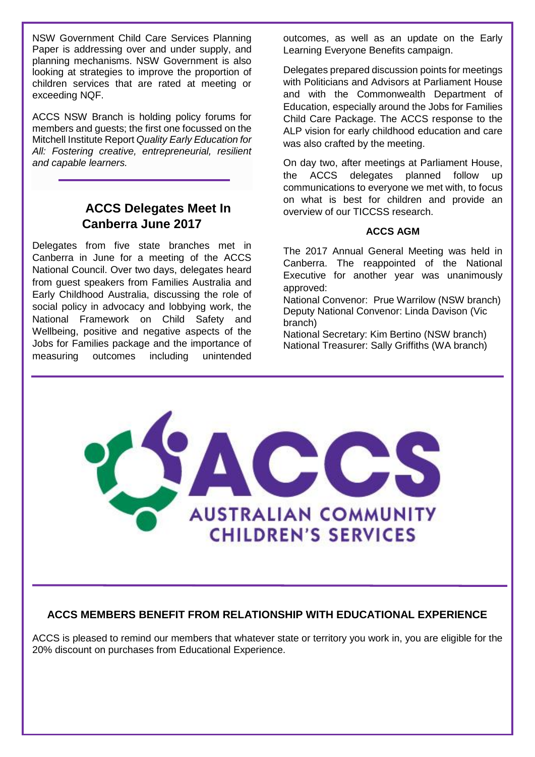NSW Government Child Care Services Planning Paper is addressing over and under supply, and planning mechanisms. NSW Government is also looking at strategies to improve the proportion of children services that are rated at meeting or exceeding NQF.

ACCS NSW Branch is holding policy forums for members and guests; the first one focussed on the Mitchell Institute Report *Quality Early Education for All: Fostering creative, entrepreneurial, resilient and capable learners.*

# **ACCS Delegates Meet In Canberra June 2017**

Delegates from five state branches met in Canberra in June for a meeting of the ACCS National Council. Over two days, delegates heard from guest speakers from Families Australia and Early Childhood Australia, discussing the role of social policy in advocacy and lobbying work, the National Framework on Child Safety and Wellbeing, positive and negative aspects of the Jobs for Families package and the importance of measuring outcomes including unintended

outcomes, as well as an update on the Early Learning Everyone Benefits campaign.

Delegates prepared discussion points for meetings with Politicians and Advisors at Parliament House and with the Commonwealth Department of Education, especially around the Jobs for Families Child Care Package. The ACCS response to the ALP vision for early childhood education and care was also crafted by the meeting.

On day two, after meetings at Parliament House, the ACCS delegates planned follow up communications to everyone we met with, to focus on what is best for children and provide an overview of our TICCSS research.

#### **ACCS AGM**

The 2017 Annual General Meeting was held in Canberra. The reappointed of the National Executive for another year was unanimously approved:

National Convenor: Prue Warrilow (NSW branch) Deputy National Convenor: Linda Davison (Vic branch)

National Secretary: Kim Bertino (NSW branch) National Treasurer: Sally Griffiths (WA branch)



# **ACCS MEMBERS BENEFIT FROM RELATIONSHIP WITH EDUCATIONAL EXPERIENCE**

ACCS is pleased to remind our members that whatever state or territory you work in, you are eligible for the 20% discount on purchases from Educational Experience.